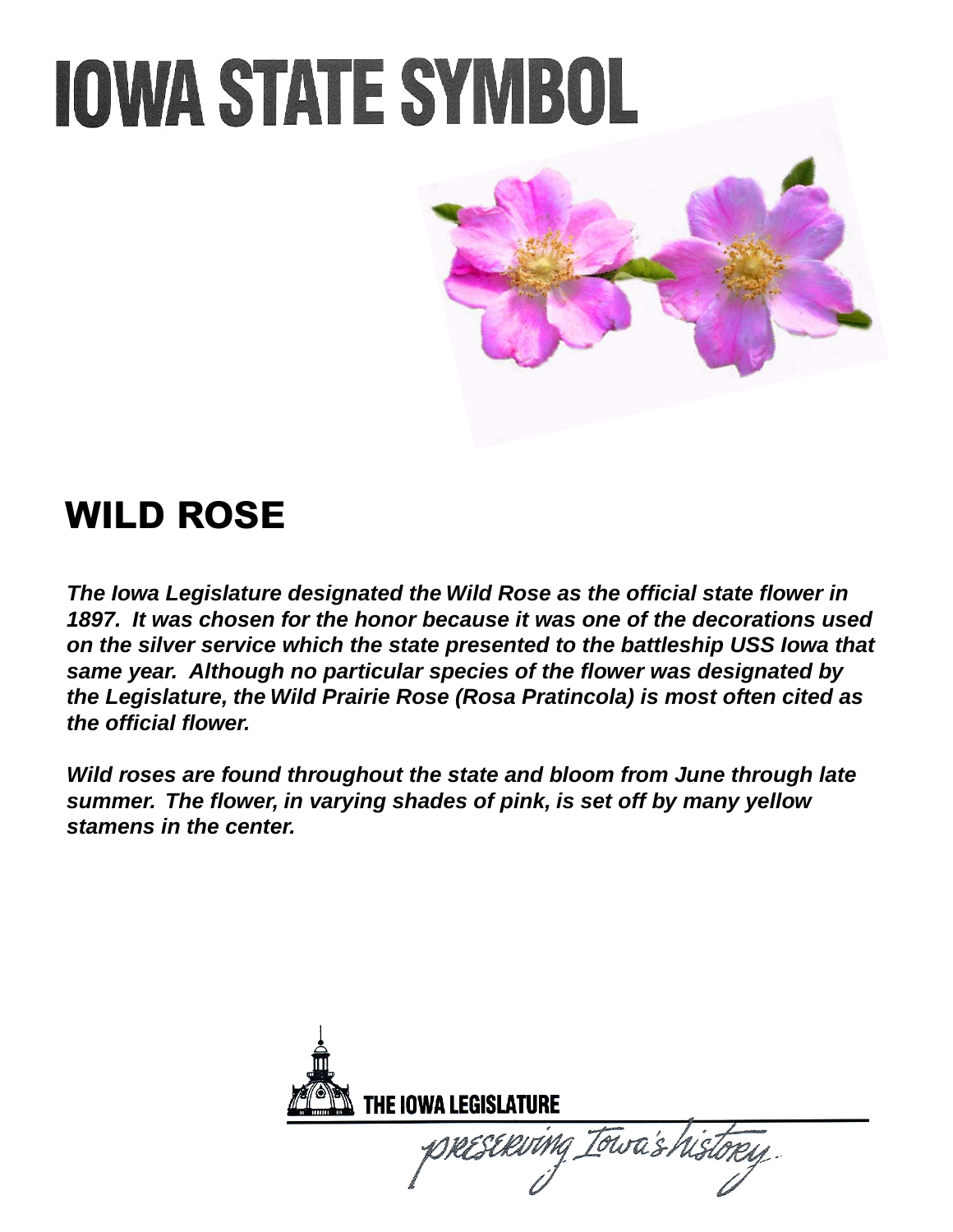

### **WILD ROSE**

*The Iowa Legislature designated the Wild Rose as the official state flower in 1897. It was chosen for the honor because it was one of the decorations used on the silver service which the state presented to the battleship USS Iowa that same year. Although no particular species of the flower was designated by the Legislature, the Wild Prairie Rose (Rosa Pratincola) is most often cited as the official flower.* 

*Wild roses are found throughout the state and bloom from June through late summer. The flower, in varying shades of pink, is set off by many yellow stamens in the center.* 

| THE IOWA LEGISLATURE |                           |  |
|----------------------|---------------------------|--|
|                      | DRESERVING Iowa's history |  |
|                      |                           |  |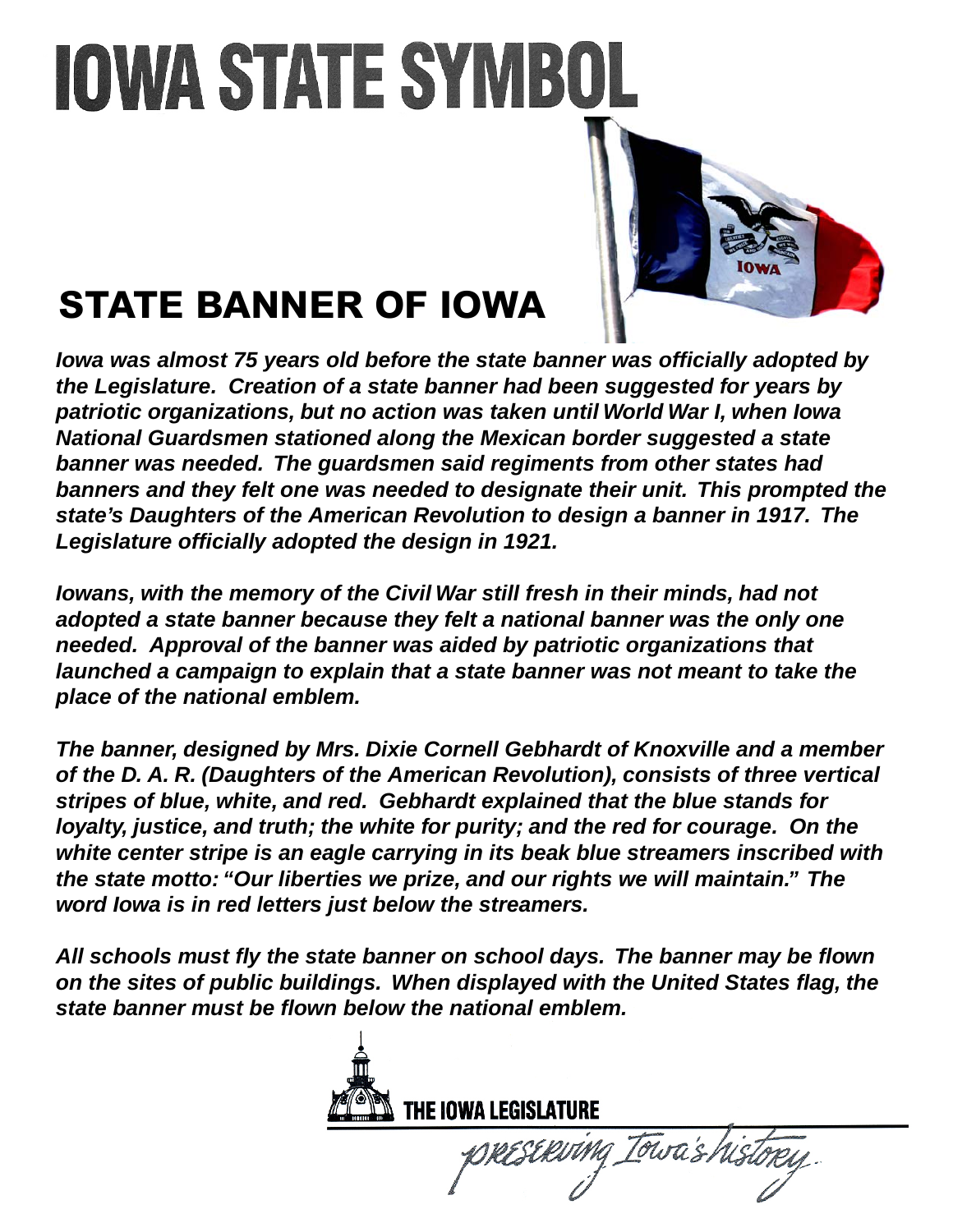

## **STATE BANNER OF IOWA**

*Iowa was almost 75 years old before the state banner was officially adopted by the Legislature. Creation of a state banner had been suggested for years by patriotic organizations, but no action was taken until World War I, when Iowa National Guardsmen stationed along the Mexican border suggested a state banner was needed. The guardsmen said regiments from other states had banners and they felt one was needed to designate their unit. This prompted the state's Daughters of the American Revolution to design a banner in 1917. The Legislature officially adopted the design in 1921.* 

*Iowans, with the memory of the Civil War still fresh in their minds, had not adopted a state banner because they felt a national banner was the only one needed. Approval of the banner was aided by patriotic organizations that launched a campaign to explain that a state banner was not meant to take the place of the national emblem.* 

*The banner, designed by Mrs. Dixie Cornell Gebhardt of Knoxville and a member of the D. A. R. (Daughters of the American Revolution), consists of three vertical stripes of blue, white, and red. Gebhardt explained that the blue stands for loyalty, justice, and truth; the white for purity; and the red for courage. On the white center stripe is an eagle carrying in its beak blue streamers inscribed with the state motto: "Our liberties we prize, and our rights we will maintain." The word Iowa is in red letters just below the streamers.* 

*All schools must fly the state banner on school days. The banner may be flown on the sites of public buildings. When displayed with the United States flag, the state banner must be flown below the national emblem.*



rescriving Iowa's hist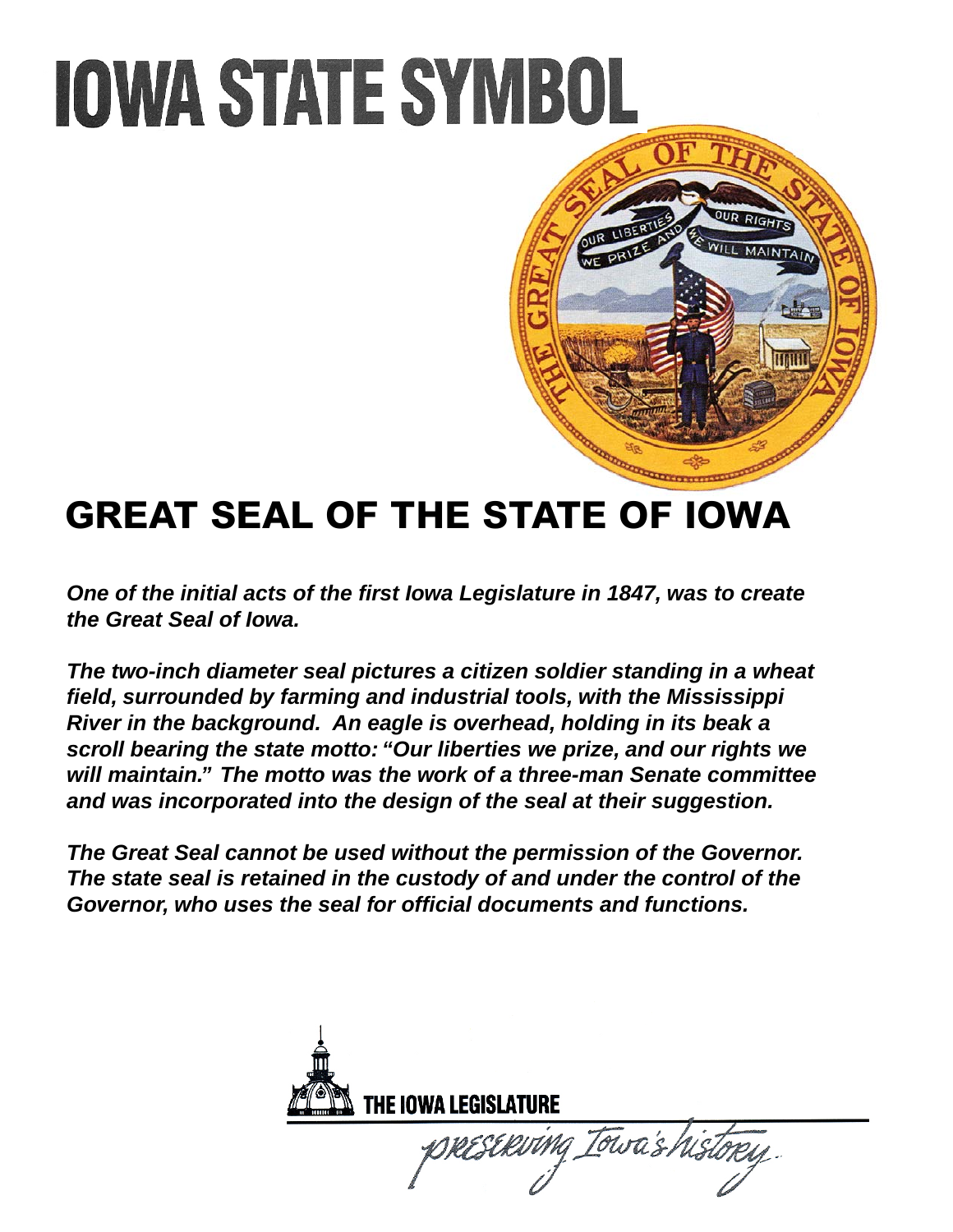

### **GREAT SEAL OF THE STATE OF IOWA**

*One of the initial acts of the first Iowa Legislature in 1847, was to create the Great Seal of Iowa.* 

*The two-inch diameter seal pictures a citizen soldier standing in a wheat field, surrounded by farming and industrial tools, with the Mississippi River in the background. An eagle is overhead, holding in its beak a scroll bearing the state motto: "Our liberties we prize, and our rights we will maintain." The motto was the work of a three-man Senate committee and was incorporated into the design of the seal at their suggestion.* 

*The Great Seal cannot be used without the permission of the Governor. The state seal is retained in the custody of and under the control of the Governor, who uses the seal for official documents and functions.* 

THE IOWA LEGISLATURE Towa's his RESERITMA \_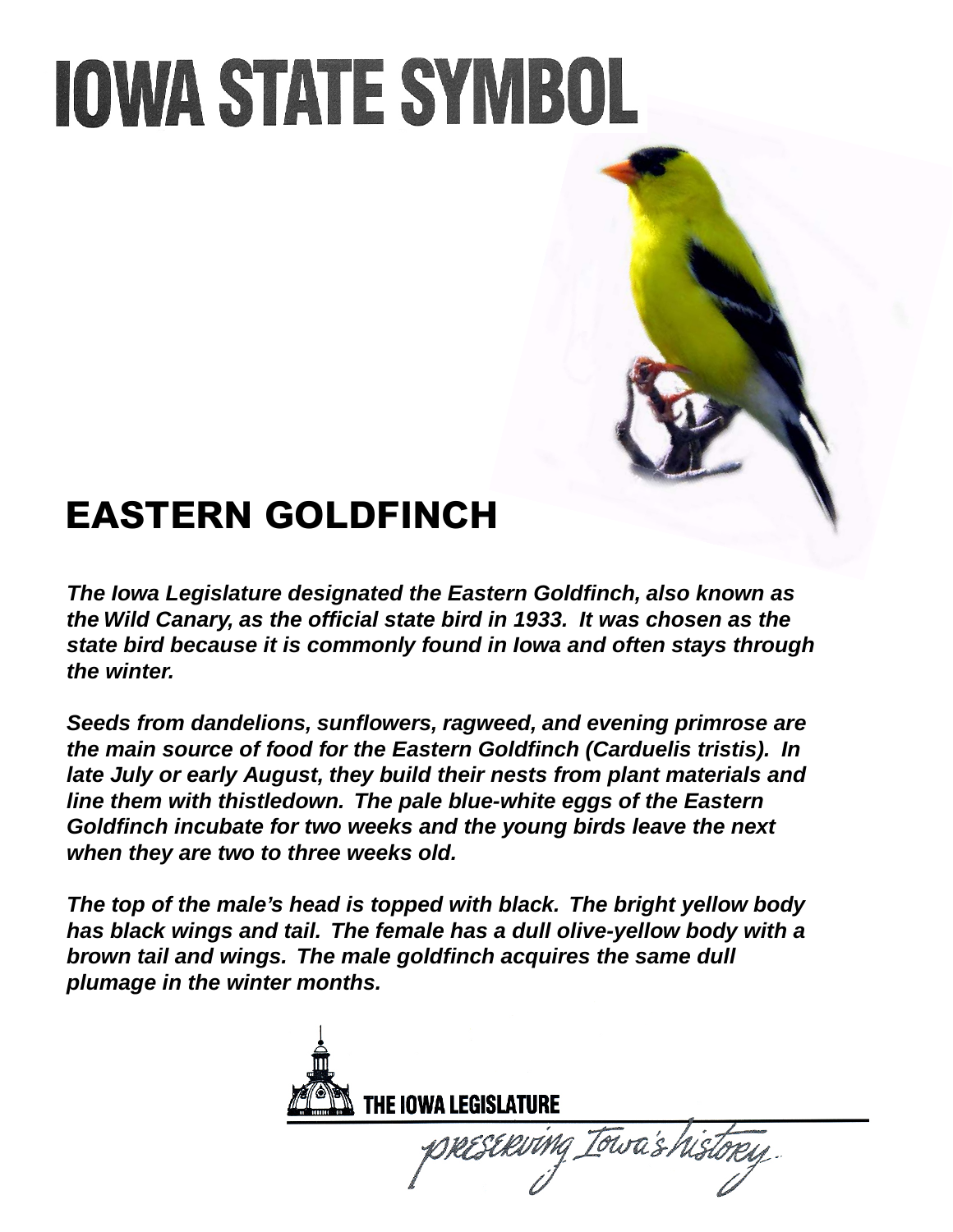#### **EASTERN GOLDFINCH**

*The Iowa Legislature designated the Eastern Goldfinch, also known as the Wild Canary, as the official state bird in 1933. It was chosen as the state bird because it is commonly found in Iowa and often stays through the winter.* 

*Seeds from dandelions, sunflowers, ragweed, and evening primrose are the main source of food for the Eastern Goldfinch (Carduelis tristis). In late July or early August, they build their nests from plant materials and line them with thistledown. The pale blue-white eggs of the Eastern Goldfinch incubate for two weeks and the young birds leave the next when they are two to three weeks old.* 

*The top of the male's head is topped with black. The bright yellow body has black wings and tail. The female has a dull olive-yellow body with a brown tail and wings. The male goldfinch acquires the same dull plumage in the winter months.*

THE IOWA LEGISLATURE Towa's his ESERVING\_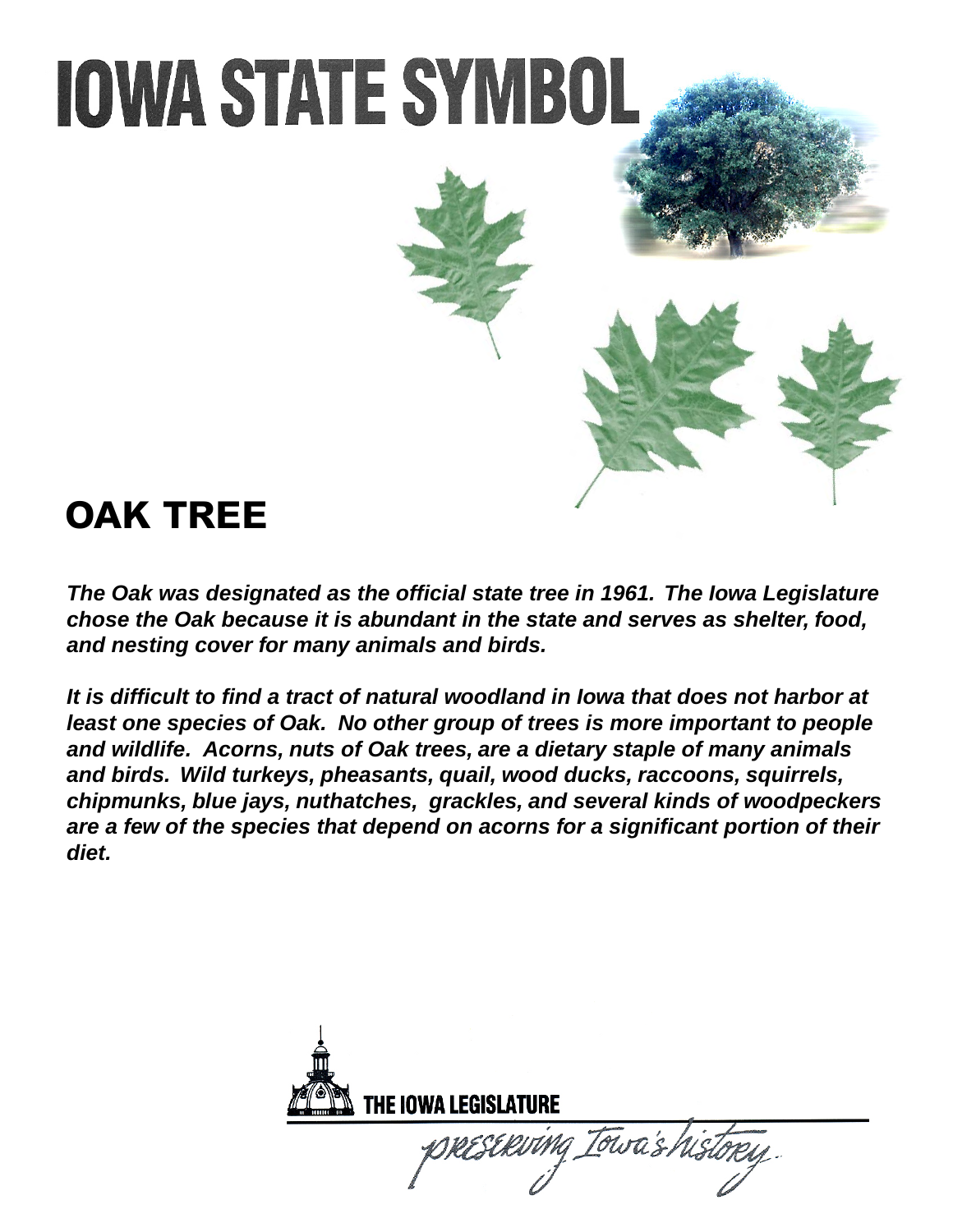#### **OAK TREE**

*The Oak was designated as the official state tree in 1961. The Iowa Legislature chose the Oak because it is abundant in the state and serves as shelter, food, and nesting cover for many animals and birds.* 

*It is difficult to find a tract of natural woodland in Iowa that does not harbor at*  least one species of Oak. No other group of trees is more important to people *and wildlife. Acorns, nuts of Oak trees, are a dietary staple of many animals and birds. Wild turkeys, pheasants, quail, wood ducks, raccoons, squirrels, chipmunks, blue jays, nuthatches, grackles, and several kinds of woodpeckers are a few of the species that depend on acorns for a significant portion of their diet.*